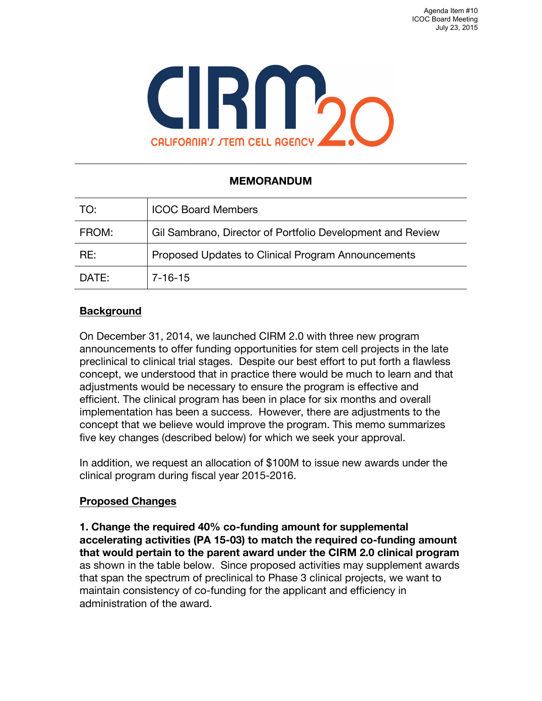

## **MEMORANDUM**

| TO:   | <b>ICOC Board Members</b>                                  |
|-------|------------------------------------------------------------|
| FROM: | Gil Sambrano, Director of Portfolio Development and Review |
| RE:   | Proposed Updates to Clinical Program Announcements         |
| DATE: | 7-16-15                                                    |

## **Background**

On December 31, 2014, we launched CIRM 2.0 with three new program announcements to offer funding opportunities for stem cell projects in the late preclinical to clinical trial stages. Despite our best effort to put forth a flawless concept, we understood that in practice there would be much to learn and that adjustments would be necessary to ensure the program is effective and efficient. The clinical program has been in place for six months and overall implementation has been a success. However, there are adjustments to the concept that we believe would improve the program. This memo summarizes five key changes (described below) for which we seek your approval.

In addition, we request an allocation of \$100M to issue new awards under the clinical program during fiscal year 2015-2016.

## **Proposed Changes**

**1. Change the required 40% co-funding amount for supplemental accelerating activities (PA 15-03) to match the required co-funding amount that would pertain to the parent award under the CIRM 2.0 clinical program** as shown in the table below. Since proposed activities may supplement awards that span the spectrum of preclinical to Phase 3 clinical projects, we want to maintain consistency of co-funding for the applicant and efficiency in administration of the award.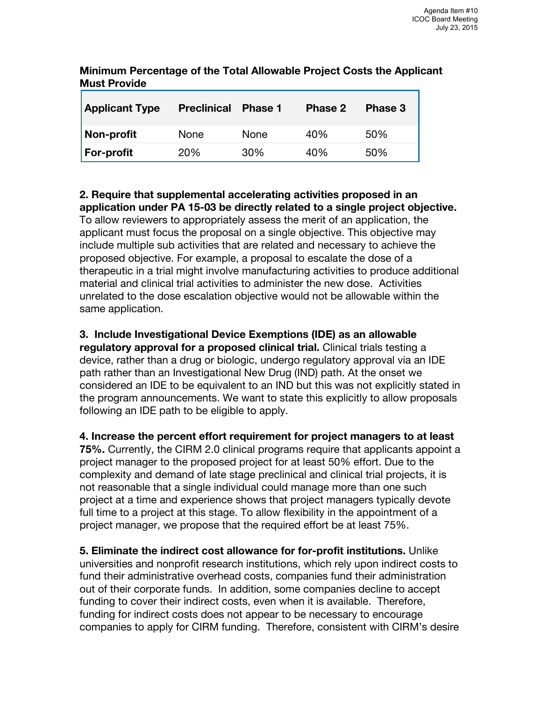| <b>Applicant Type</b> | <b>Preclinical</b> | <b>Phase 1</b> | Phase 2 | Phase 3 |
|-----------------------|--------------------|----------------|---------|---------|
| Non-profit            | None               | None           | 40%     | 50%     |
| <b>For-profit</b>     | 20%                | 30%            | 40%     | 50%     |

**Minimum Percentage of the Total Allowable Project Costs the Applicant Must Provide**

**2. Require that supplemental accelerating activities proposed in an application under PA 15-03 be directly related to a single project objective.** To allow reviewers to appropriately assess the merit of an application, the applicant must focus the proposal on a single objective. This objective may include multiple sub activities that are related and necessary to achieve the proposed objective. For example, a proposal to escalate the dose of a therapeutic in a trial might involve manufacturing activities to produce additional material and clinical trial activities to administer the new dose. Activities unrelated to the dose escalation objective would not be allowable within the same application.

## **3. Include Investigational Device Exemptions (IDE) as an allowable**

**regulatory approval for a proposed clinical trial.** Clinical trials testing a device, rather than a drug or biologic, undergo regulatory approval via an IDE path rather than an Investigational New Drug (IND) path. At the onset we considered an IDE to be equivalent to an IND but this was not explicitly stated in the program announcements. We want to state this explicitly to allow proposals following an IDE path to be eligible to apply.

**4. Increase the percent effort requirement for project managers to at least 75%.** Currently, the CIRM 2.0 clinical programs require that applicants appoint a project manager to the proposed project for at least 50% effort. Due to the complexity and demand of late stage preclinical and clinical trial projects, it is not reasonable that a single individual could manage more than one such project at a time and experience shows that project managers typically devote full time to a project at this stage. To allow flexibility in the appointment of a project manager, we propose that the required effort be at least 75%.

**5. Eliminate the indirect cost allowance for for-profit institutions.** Unlike universities and nonprofit research institutions, which rely upon indirect costs to fund their administrative overhead costs, companies fund their administration out of their corporate funds. In addition, some companies decline to accept funding to cover their indirect costs, even when it is available. Therefore, funding for indirect costs does not appear to be necessary to encourage companies to apply for CIRM funding. Therefore, consistent with CIRM's desire